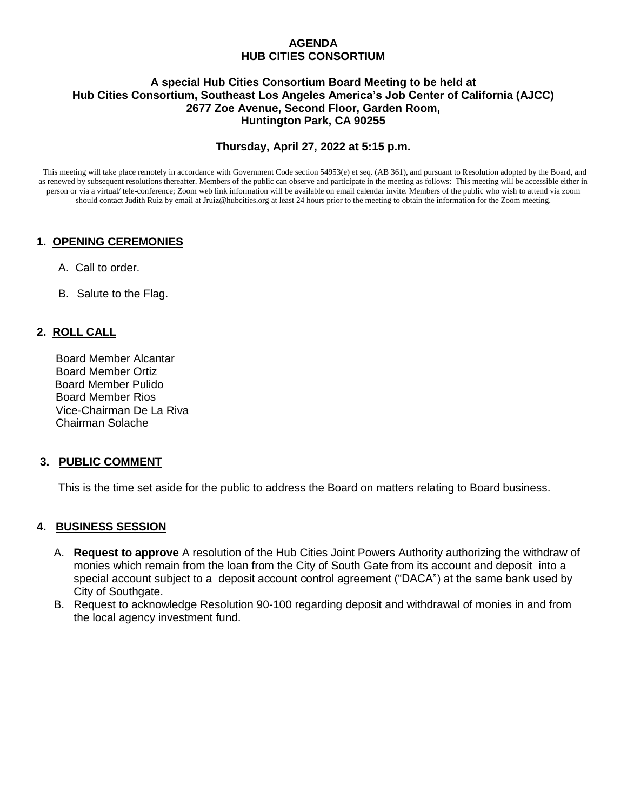#### **AGENDA HUB CITIES CONSORTIUM**

#### **A special Hub Cities Consortium Board Meeting to be held at Hub Cities Consortium, Southeast Los Angeles America's Job Center of California (AJCC) 2677 Zoe Avenue, Second Floor, Garden Room, Huntington Park, CA 90255**

# **Thursday, April 27, 2022 at 5:15 p.m.**

This meeting will take place remotely in accordance with Government Code section 54953(e) et seq. (AB 361), and pursuant to Resolution adopted by the Board, and as renewed by subsequent resolutions thereafter. Members of the public can observe and participate in the meeting as follows: This meeting will be accessible either in person or via a virtual/ tele-conference; Zoom web link information will be available on email calendar invite. Members of the public who wish to attend via zoom should contact Judith Ruiz by email at Jruiz@hubcities.org at least 24 hours prior to the meeting to obtain the information for the Zoom meeting.

# **1. OPENING CEREMONIES**

- A. Call to order.
- B. Salute to the Flag.

# **2. ROLL CALL**

 Board Member Alcantar Board Member Ortiz Board Member Pulido Board Member Rios Vice-Chairman De La Riva Chairman Solache

# **3. PUBLIC COMMENT**

This is the time set aside for the public to address the Board on matters relating to Board business.

# **4. BUSINESS SESSION**

- A. **Request to approve** A resolution of the Hub Cities Joint Powers Authority authorizing the withdraw of monies which remain from the loan from the City of South Gate from its account and deposit into a special account subject to a deposit account control agreement ("DACA") at the same bank used by City of Southgate.
- B. Request to acknowledge Resolution 90-100 regarding deposit and withdrawal of monies in and from the local agency investment fund.